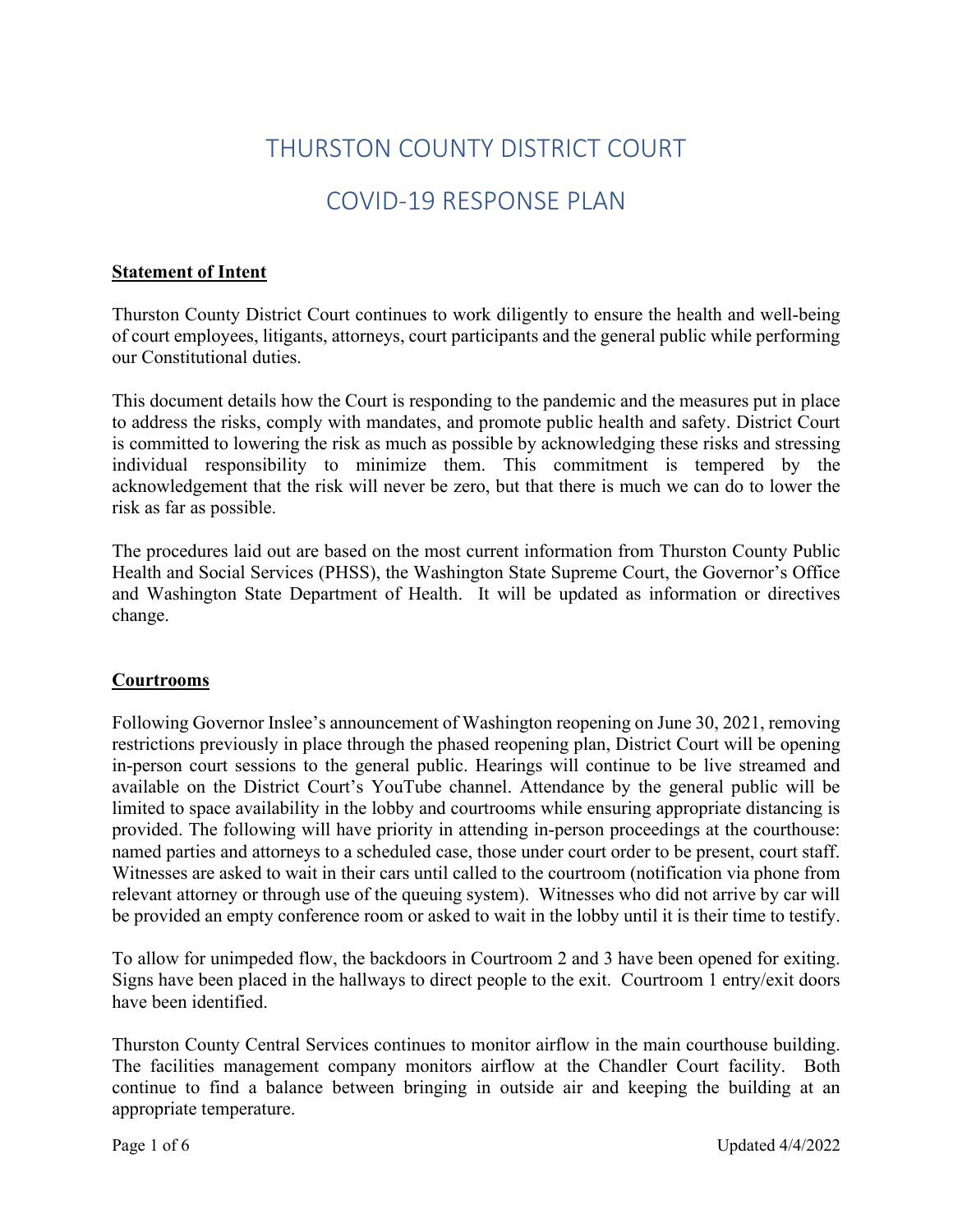# THURSTON COUNTY DISTRICT COURT

# COVID-19 RESPONSE PLAN

## **Statement of Intent**

Thurston County District Court continues to work diligently to ensure the health and well-being of court employees, litigants, attorneys, court participants and the general public while performing our Constitutional duties.

This document details how the Court is responding to the pandemic and the measures put in place to address the risks, comply with mandates, and promote public health and safety. District Court is committed to lowering the risk as much as possible by acknowledging these risks and stressing individual responsibility to minimize them. This commitment is tempered by the acknowledgement that the risk will never be zero, but that there is much we can do to lower the risk as far as possible.

The procedures laid out are based on the most current information from Thurston County Public Health and Social Services (PHSS), the Washington State Supreme Court, the Governor's Office and Washington State Department of Health. It will be updated as information or directives change.

## **Courtrooms**

Following Governor Inslee's announcement of Washington reopening on June 30, 2021, removing restrictions previously in place through the phased reopening plan, District Court will be opening in-person court sessions to the general public. Hearings will continue to be live streamed and available on the District Court's YouTube channel. Attendance by the general public will be limited to space availability in the lobby and courtrooms while ensuring appropriate distancing is provided. The following will have priority in attending in-person proceedings at the courthouse: named parties and attorneys to a scheduled case, those under court order to be present, court staff. Witnesses are asked to wait in their cars until called to the courtroom (notification via phone from relevant attorney or through use of the queuing system). Witnesses who did not arrive by car will be provided an empty conference room or asked to wait in the lobby until it is their time to testify.

To allow for unimpeded flow, the backdoors in Courtroom 2 and 3 have been opened for exiting. Signs have been placed in the hallways to direct people to the exit. Courtroom 1 entry/exit doors have been identified.

Thurston County Central Services continues to monitor airflow in the main courthouse building. The facilities management company monitors airflow at the Chandler Court facility. Both continue to find a balance between bringing in outside air and keeping the building at an appropriate temperature.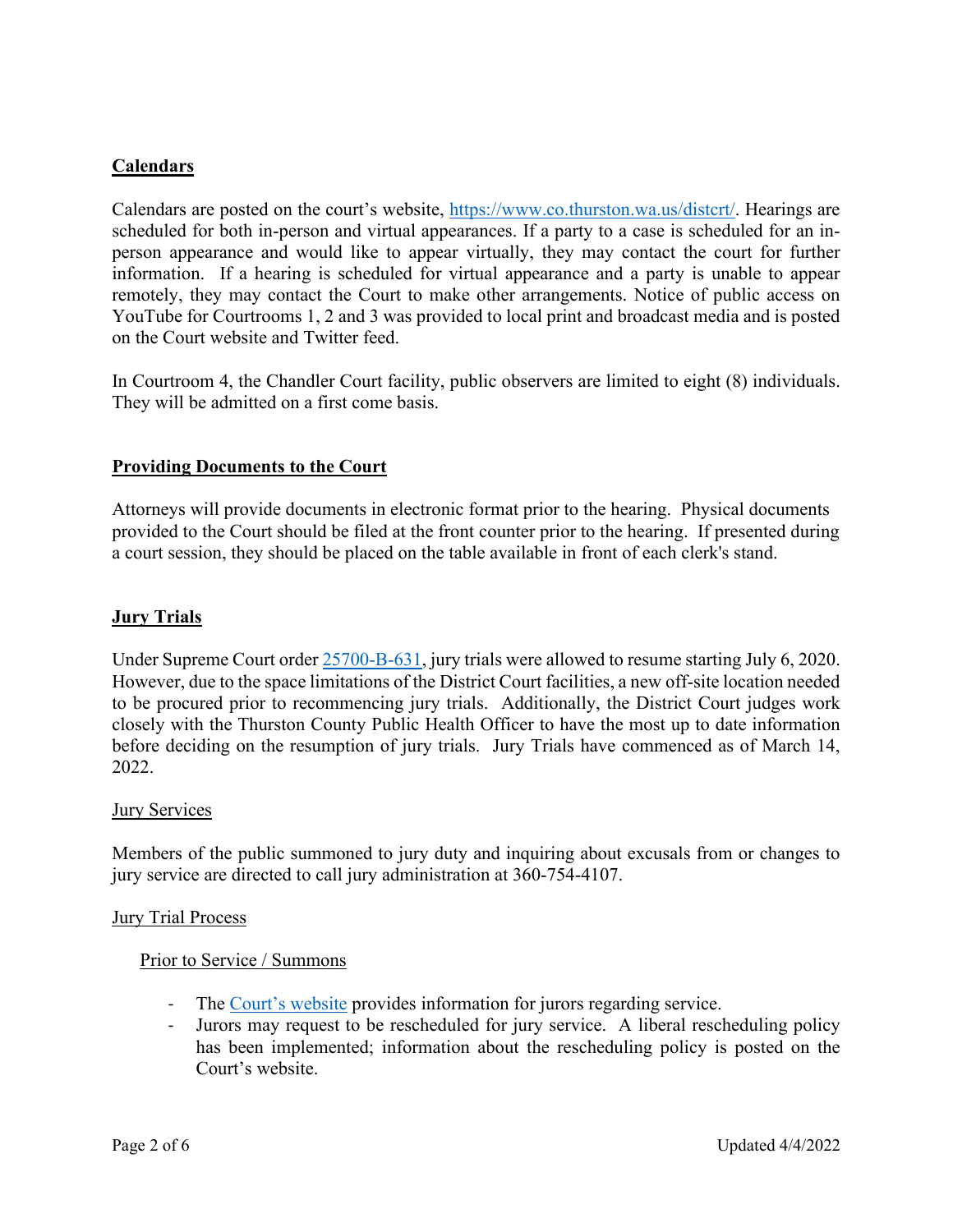## **Calendars**

Calendars are posted on the court's website, [https://www.co.thurston.wa.us/distcrt/.](https://www.co.thurston.wa.us/distcrt/) Hearings are scheduled for both in-person and virtual appearances. If a party to a case is scheduled for an inperson appearance and would like to appear virtually, they may contact the court for further information. If a hearing is scheduled for virtual appearance and a party is unable to appear remotely, they may contact the Court to make other arrangements. Notice of public access on YouTube for Courtrooms 1, 2 and 3 was provided to local print and broadcast media and is posted on the Court website and Twitter feed.

In Courtroom 4, the Chandler Court facility, public observers are limited to eight (8) individuals. They will be admitted on a first come basis.

## **Providing Documents to the Court**

Attorneys will provide documents in electronic format prior to the hearing. Physical documents provided to the Court should be filed at the front counter prior to the hearing. If presented during a court session, they should be placed on the table available in front of each clerk's stand.

## **Jury Trials**

Under Supreme Court order [25700-B-631,](http://www.courts.wa.gov/content/publicUpload/Supreme%20Court%20Orders/Jury%20Resumption%20Order%20061820.pdf) jury trials were allowed to resume starting July 6, 2020. However, due to the space limitations of the District Court facilities, a new off-site location needed to be procured prior to recommencing jury trials. Additionally, the District Court judges work closely with the Thurston County Public Health Officer to have the most up to date information before deciding on the resumption of jury trials. Jury Trials have commenced as of March 14, 2022.

#### **Jury Services**

Members of the public summoned to jury duty and inquiring about excusals from or changes to jury service are directed to call jury administration at 360-754-4107.

#### Jury Trial Process

#### Prior to Service / Summons

- The [Court's website](https://www.co.thurston.wa.us/distcrt/) provides information for jurors regarding service.
- Jurors may request to be rescheduled for jury service. A liberal rescheduling policy has been implemented; information about the rescheduling policy is posted on the Court's website.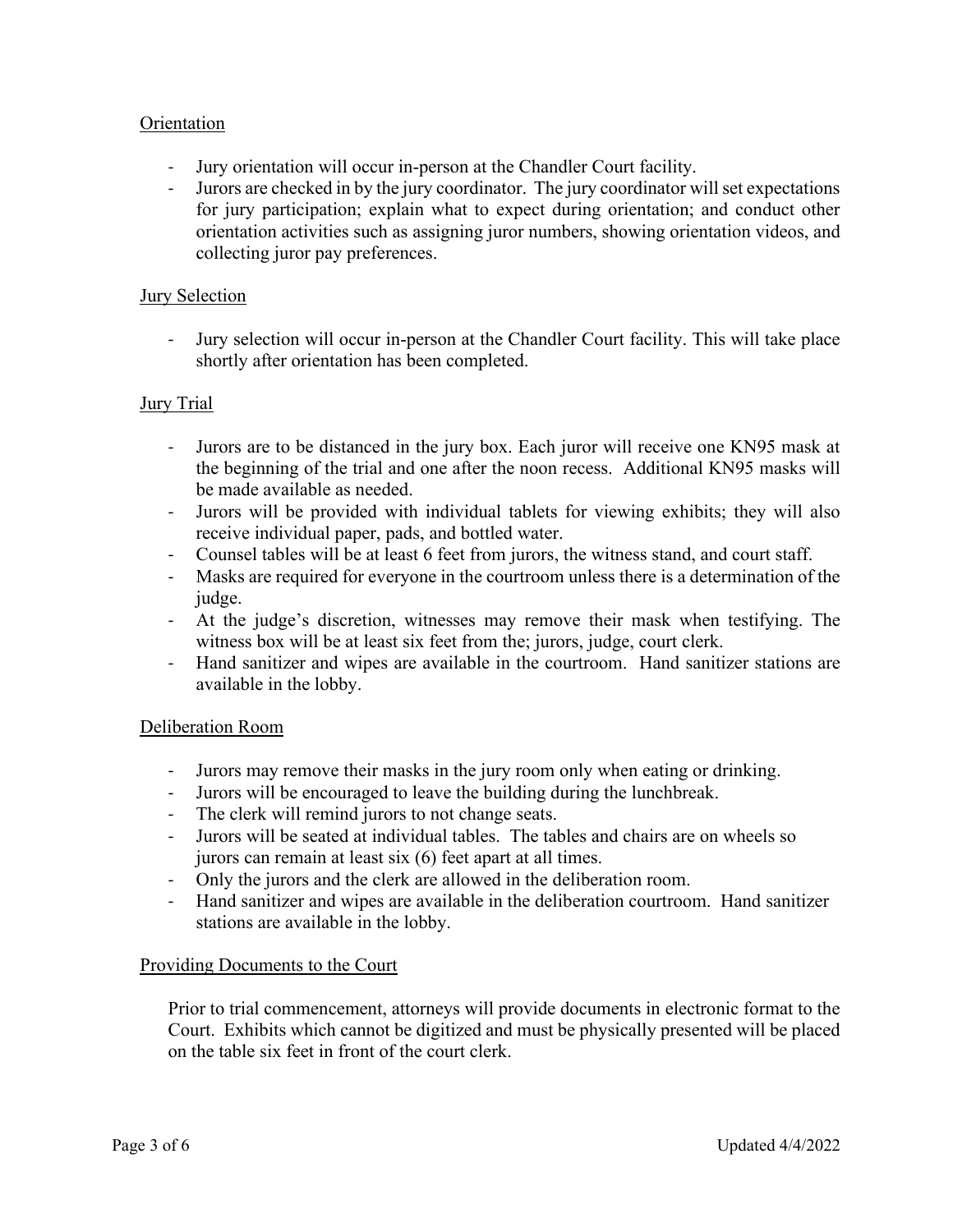## Orientation

- Jury orientation will occur in-person at the Chandler Court facility.
- Jurors are checked in by the jury coordinator. The jury coordinator will set expectations for jury participation; explain what to expect during orientation; and conduct other orientation activities such as assigning juror numbers, showing orientation videos, and collecting juror pay preferences.

### **Jury Selection**

- Jury selection will occur in-person at the Chandler Court facility. This will take place shortly after orientation has been completed.

## Jury Trial

- Jurors are to be distanced in the jury box. Each juror will receive one KN95 mask at the beginning of the trial and one after the noon recess. Additional KN95 masks will be made available as needed.
- Jurors will be provided with individual tablets for viewing exhibits; they will also receive individual paper, pads, and bottled water.
- Counsel tables will be at least 6 feet from jurors, the witness stand, and court staff.
- Masks are required for everyone in the courtroom unless there is a determination of the judge.
- At the judge's discretion, witnesses may remove their mask when testifying. The witness box will be at least six feet from the; jurors, judge, court clerk.
- Hand sanitizer and wipes are available in the courtroom. Hand sanitizer stations are available in the lobby.

#### Deliberation Room

- Jurors may remove their masks in the jury room only when eating or drinking.
- Jurors will be encouraged to leave the building during the lunchbreak.
- The clerk will remind jurors to not change seats.
- Jurors will be seated at individual tables. The tables and chairs are on wheels so jurors can remain at least six (6) feet apart at all times.
- Only the jurors and the clerk are allowed in the deliberation room.
- Hand sanitizer and wipes are available in the deliberation courtroom. Hand sanitizer stations are available in the lobby.

#### Providing Documents to the Court

Prior to trial commencement, attorneys will provide documents in electronic format to the Court. Exhibits which cannot be digitized and must be physically presented will be placed on the table six feet in front of the court clerk.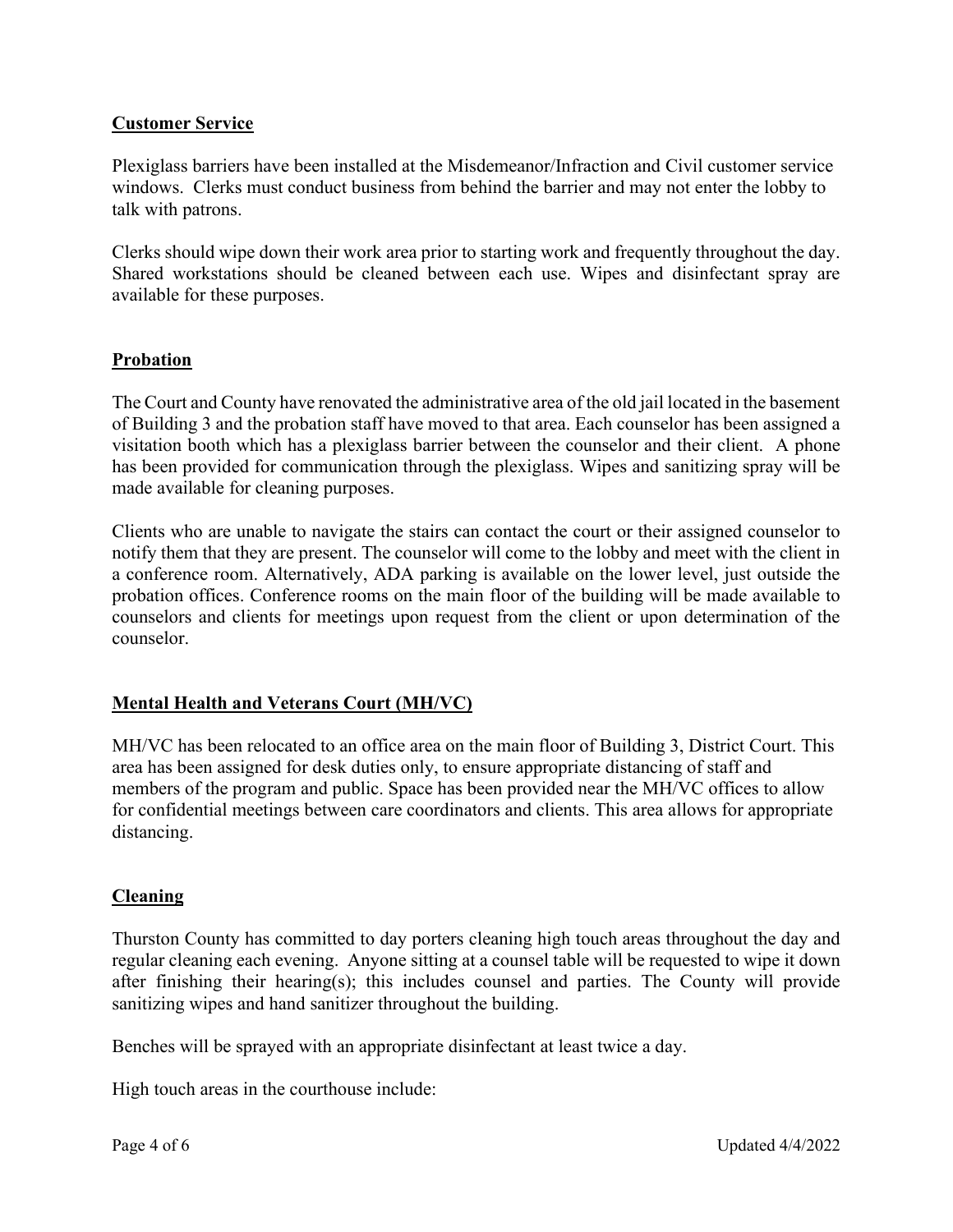## **Customer Service**

Plexiglass barriers have been installed at the Misdemeanor/Infraction and Civil customer service windows. Clerks must conduct business from behind the barrier and may not enter the lobby to talk with patrons.

Clerks should wipe down their work area prior to starting work and frequently throughout the day. Shared workstations should be cleaned between each use. Wipes and disinfectant spray are available for these purposes.

## **Probation**

The Court and County have renovated the administrative area of the old jail located in the basement of Building 3 and the probation staff have moved to that area. Each counselor has been assigned a visitation booth which has a plexiglass barrier between the counselor and their client. A phone has been provided for communication through the plexiglass. Wipes and sanitizing spray will be made available for cleaning purposes.

Clients who are unable to navigate the stairs can contact the court or their assigned counselor to notify them that they are present. The counselor will come to the lobby and meet with the client in a conference room. Alternatively, ADA parking is available on the lower level, just outside the probation offices. Conference rooms on the main floor of the building will be made available to counselors and clients for meetings upon request from the client or upon determination of the counselor.

# **Mental Health and Veterans Court (MH/VC)**

MH/VC has been relocated to an office area on the main floor of Building 3, District Court. This area has been assigned for desk duties only, to ensure appropriate distancing of staff and members of the program and public. Space has been provided near the MH/VC offices to allow for confidential meetings between care coordinators and clients. This area allows for appropriate distancing.

## **Cleaning**

Thurston County has committed to day porters cleaning high touch areas throughout the day and regular cleaning each evening. Anyone sitting at a counsel table will be requested to wipe it down after finishing their hearing(s); this includes counsel and parties. The County will provide sanitizing wipes and hand sanitizer throughout the building.

Benches will be sprayed with an appropriate disinfectant at least twice a day.

High touch areas in the courthouse include: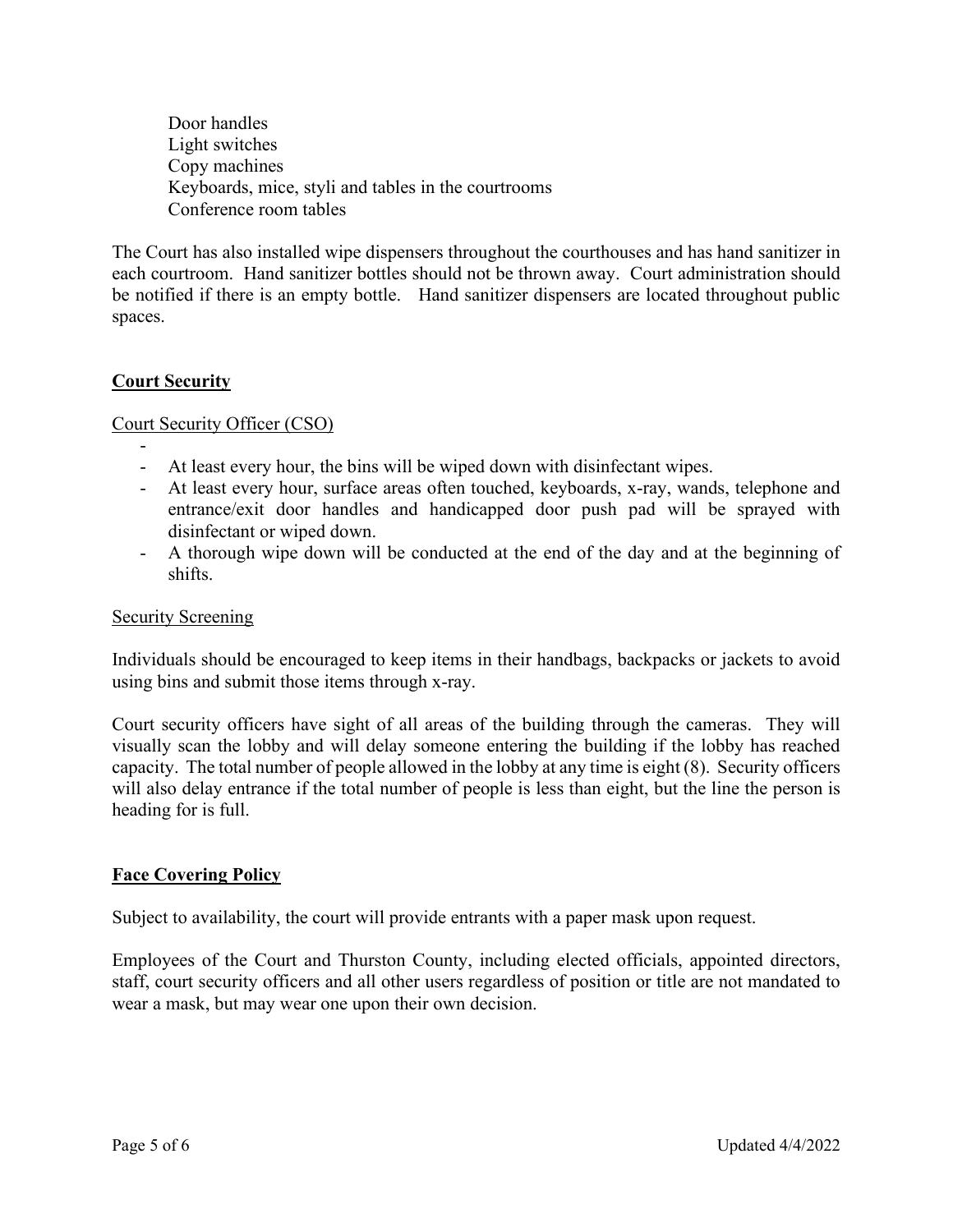Door handles Light switches Copy machines Keyboards, mice, styli and tables in the courtrooms Conference room tables

The Court has also installed wipe dispensers throughout the courthouses and has hand sanitizer in each courtroom. Hand sanitizer bottles should not be thrown away. Court administration should be notified if there is an empty bottle. Hand sanitizer dispensers are located throughout public spaces.

# **Court Security**

## Court Security Officer (CSO)

- - At least every hour, the bins will be wiped down with disinfectant wipes.
- At least every hour, surface areas often touched, keyboards, x-ray, wands, telephone and entrance/exit door handles and handicapped door push pad will be sprayed with disinfectant or wiped down.
- A thorough wipe down will be conducted at the end of the day and at the beginning of shifts.

#### Security Screening

Individuals should be encouraged to keep items in their handbags, backpacks or jackets to avoid using bins and submit those items through x-ray.

Court security officers have sight of all areas of the building through the cameras. They will visually scan the lobby and will delay someone entering the building if the lobby has reached capacity. The total number of people allowed in the lobby at any time is eight (8). Security officers will also delay entrance if the total number of people is less than eight, but the line the person is heading for is full.

## **Face Covering Policy**

Subject to availability, the court will provide entrants with a paper mask upon request.

Employees of the Court and Thurston County, including elected officials, appointed directors, staff, court security officers and all other users regardless of position or title are not mandated to wear a mask, but may wear one upon their own decision.